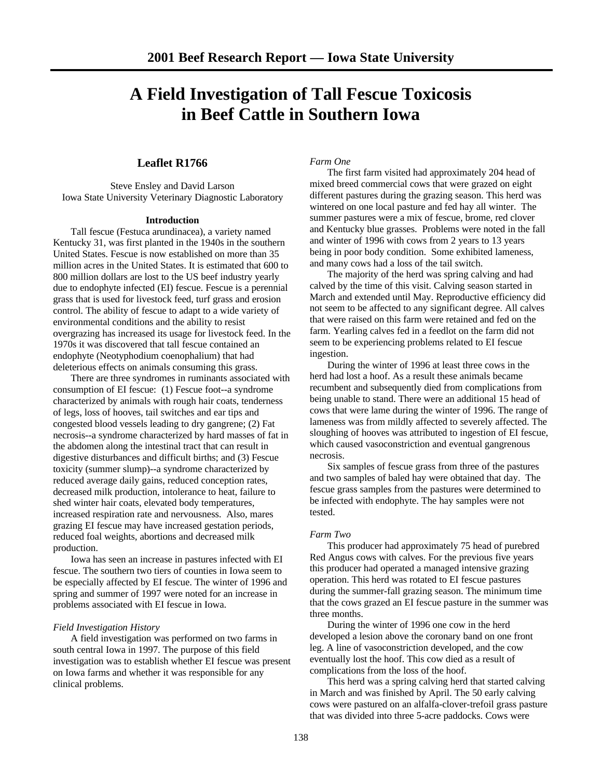# **A Field Investigation of Tall Fescue Toxicosis in Beef Cattle in Southern Iowa**

## **Leaflet R1766**

Steve Ensley and David Larson Iowa State University Veterinary Diagnostic Laboratory

### **Introduction**

Tall fescue (Festuca arundinacea), a variety named Kentucky 31, was first planted in the 1940s in the southern United States. Fescue is now established on more than 35 million acres in the United States. It is estimated that 600 to 800 million dollars are lost to the US beef industry yearly due to endophyte infected (EI) fescue. Fescue is a perennial grass that is used for livestock feed, turf grass and erosion control. The ability of fescue to adapt to a wide variety of environmental conditions and the ability to resist overgrazing has increased its usage for livestock feed. In the 1970s it was discovered that tall fescue contained an endophyte (Neotyphodium coenophalium) that had deleterious effects on animals consuming this grass.

There are three syndromes in ruminants associated with consumption of EI fescue: (1) Fescue foot--a syndrome characterized by animals with rough hair coats, tenderness of legs, loss of hooves, tail switches and ear tips and congested blood vessels leading to dry gangrene; (2) Fat necrosis--a syndrome characterized by hard masses of fat in the abdomen along the intestinal tract that can result in digestive disturbances and difficult births; and (3) Fescue toxicity (summer slump)--a syndrome characterized by reduced average daily gains, reduced conception rates, decreased milk production, intolerance to heat, failure to shed winter hair coats, elevated body temperatures, increased respiration rate and nervousness. Also, mares grazing EI fescue may have increased gestation periods, reduced foal weights, abortions and decreased milk production.

Iowa has seen an increase in pastures infected with EI fescue. The southern two tiers of counties in Iowa seem to be especially affected by EI fescue. The winter of 1996 and spring and summer of 1997 were noted for an increase in problems associated with EI fescue in Iowa.

### *Field Investigation History*

A field investigation was performed on two farms in south central Iowa in 1997. The purpose of this field investigation was to establish whether EI fescue was present on Iowa farms and whether it was responsible for any clinical problems.

*Farm One*

The first farm visited had approximately 204 head of mixed breed commercial cows that were grazed on eight different pastures during the grazing season. This herd was wintered on one local pasture and fed hay all winter. The summer pastures were a mix of fescue, brome, red clover and Kentucky blue grasses. Problems were noted in the fall and winter of 1996 with cows from 2 years to 13 years being in poor body condition. Some exhibited lameness, and many cows had a loss of the tail switch.

The majority of the herd was spring calving and had calved by the time of this visit. Calving season started in March and extended until May. Reproductive efficiency did not seem to be affected to any significant degree. All calves that were raised on this farm were retained and fed on the farm. Yearling calves fed in a feedlot on the farm did not seem to be experiencing problems related to EI fescue ingestion.

During the winter of 1996 at least three cows in the herd had lost a hoof. As a result these animals became recumbent and subsequently died from complications from being unable to stand. There were an additional 15 head of cows that were lame during the winter of 1996. The range of lameness was from mildly affected to severely affected. The sloughing of hooves was attributed to ingestion of EI fescue, which caused vasoconstriction and eventual gangrenous necrosis.

Six samples of fescue grass from three of the pastures and two samples of baled hay were obtained that day. The fescue grass samples from the pastures were determined to be infected with endophyte. The hay samples were not tested.

### *Farm Two*

This producer had approximately 75 head of purebred Red Angus cows with calves. For the previous five years this producer had operated a managed intensive grazing operation. This herd was rotated to EI fescue pastures during the summer-fall grazing season. The minimum time that the cows grazed an EI fescue pasture in the summer was three months.

During the winter of 1996 one cow in the herd developed a lesion above the coronary band on one front leg. A line of vasoconstriction developed, and the cow eventually lost the hoof. This cow died as a result of complications from the loss of the hoof.

This herd was a spring calving herd that started calving in March and was finished by April. The 50 early calving cows were pastured on an alfalfa-clover-trefoil grass pasture that was divided into three 5-acre paddocks. Cows were